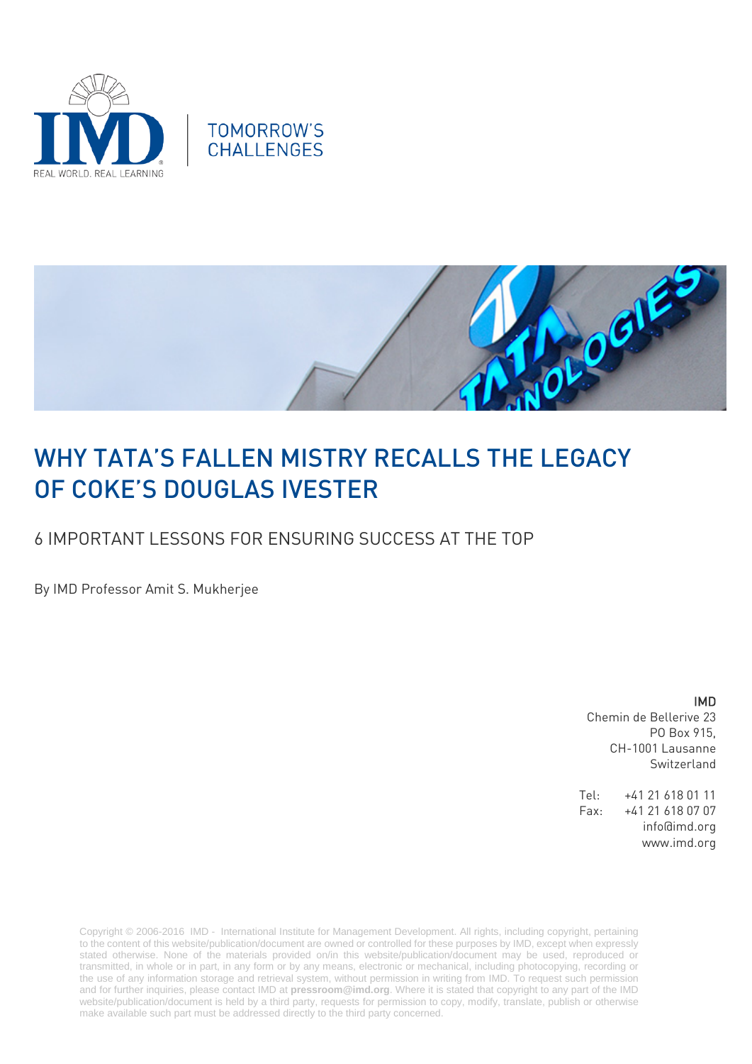





# WHY TATA'S FALLEN MISTRY RECALLS THE LEGACY OF COKE'S DOUGLAS IVESTER

## 6 IMPORTANT LESSONS FOR ENSURING SUCCESS AT THE TOP

By IMD Professor Amit S. Mukherjee

IMD Chemin de Bellerive 23 PO Box 915, CH-1001 Lausanne Switzerland

Tel: +41 21 618 01 11 Fax: +41 21 618 07 07 info@imd.org www.imd.org

Copyright © 2006-2016 IMD - International Institute for Management Development. All rights, including copyright, pertaining to the content of this website/publication/document are owned or controlled for these purposes by IMD, except when expressly stated otherwise. None of the materials provided on/in this website/publication/document may be used, reproduced or transmitted, in whole or in part, in any form or by any means, electronic or mechanical, including photocopying, recording or the use of any information storage and retrieval system, without permission in writing from IMD. To request such permission and for further inquiries, please contact IMD at **[pressroom@imd.org](mailto:pressroom@imd.org)**. Where it is stated that copyright to any part of the IMD website/publication/document is held by a third party, requests for permission to copy, modify, translate, publish or otherwise make available such part must be addressed directly to the third party concerned.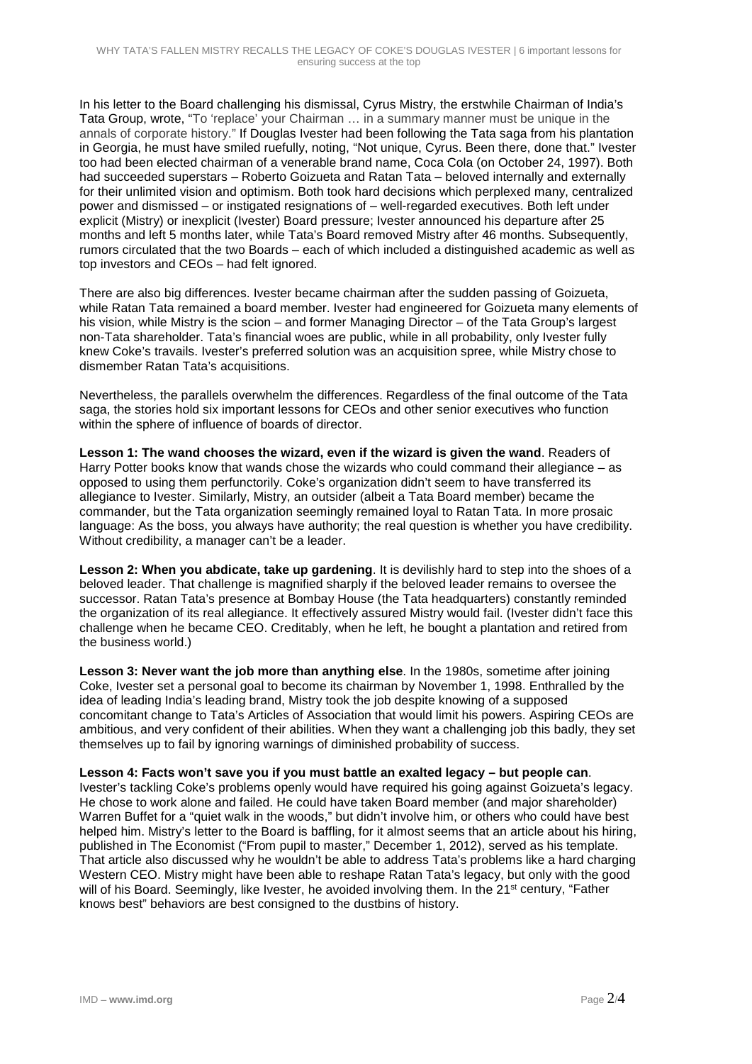In his letter to the Board challenging his dismissal, Cyrus Mistry, the erstwhile Chairman of India's Tata Group, wrote, "To 'replace' your Chairman … in a summary manner must be unique in the annals of corporate history." If Douglas Ivester had been following the Tata saga from his plantation in Georgia, he must have smiled ruefully, noting, "Not unique, Cyrus. Been there, done that." Ivester too had been elected chairman of a venerable brand name, Coca Cola (on October 24, 1997). Both had succeeded superstars – Roberto Goizueta and Ratan Tata – beloved internally and externally for their unlimited vision and optimism. Both took hard decisions which perplexed many, centralized power and dismissed – or instigated resignations of – well-regarded executives. Both left under explicit (Mistry) or inexplicit (Ivester) Board pressure; Ivester announced his departure after 25 months and left 5 months later, while Tata's Board removed Mistry after 46 months. Subsequently, rumors circulated that the two Boards – each of which included a distinguished academic as well as top investors and CEOs – had felt ignored.

There are also big differences. Ivester became chairman after the sudden passing of Goizueta, while Ratan Tata remained a board member. Ivester had engineered for Goizueta many elements of his vision, while Mistry is the scion – and former Managing Director – of the Tata Group's largest non-Tata shareholder. Tata's financial woes are public, while in all probability, only Ivester fully knew Coke's travails. Ivester's preferred solution was an acquisition spree, while Mistry chose to dismember Ratan Tata's acquisitions.

Nevertheless, the parallels overwhelm the differences. Regardless of the final outcome of the Tata saga, the stories hold six important lessons for CEOs and other senior executives who function within the sphere of influence of boards of director.

**Lesson 1: The wand chooses the wizard, even if the wizard is given the wand**. Readers of Harry Potter books know that wands chose the wizards who could command their allegiance – as opposed to using them perfunctorily. Coke's organization didn't seem to have transferred its allegiance to Ivester. Similarly, Mistry, an outsider (albeit a Tata Board member) became the commander, but the Tata organization seemingly remained loyal to Ratan Tata. In more prosaic language: As the boss, you always have authority; the real question is whether you have credibility. Without credibility, a manager can't be a leader.

**Lesson 2: When you abdicate, take up gardening**. It is devilishly hard to step into the shoes of a beloved leader. That challenge is magnified sharply if the beloved leader remains to oversee the successor. Ratan Tata's presence at Bombay House (the Tata headquarters) constantly reminded the organization of its real allegiance. It effectively assured Mistry would fail. (Ivester didn't face this challenge when he became CEO. Creditably, when he left, he bought a plantation and retired from the business world.)

**Lesson 3: Never want the job more than anything else**. In the 1980s, sometime after joining Coke, Ivester set a personal goal to become its chairman by November 1, 1998. Enthralled by the idea of leading India's leading brand, Mistry took the job despite knowing of a supposed concomitant change to Tata's Articles of Association that would limit his powers. Aspiring CEOs are ambitious, and very confident of their abilities. When they want a challenging job this badly, they set themselves up to fail by ignoring warnings of diminished probability of success.

**Lesson 4: Facts won't save you if you must battle an exalted legacy – but people can**. Ivester's tackling Coke's problems openly would have required his going against Goizueta's legacy. He chose to work alone and failed. He could have taken Board member (and major shareholder) Warren Buffet for a "quiet walk in the woods," but didn't involve him, or others who could have best helped him. Mistry's letter to the Board is baffling, for it almost seems that an article about his hiring, published in The Economist ("From pupil to master," December 1, 2012), served as his template. That article also discussed why he wouldn't be able to address Tata's problems like a hard charging Western CEO. Mistry might have been able to reshape Ratan Tata's legacy, but only with the good will of his Board. Seemingly, like Ivester, he avoided involving them. In the 21<sup>st</sup> century, "Father knows best" behaviors are best consigned to the dustbins of history.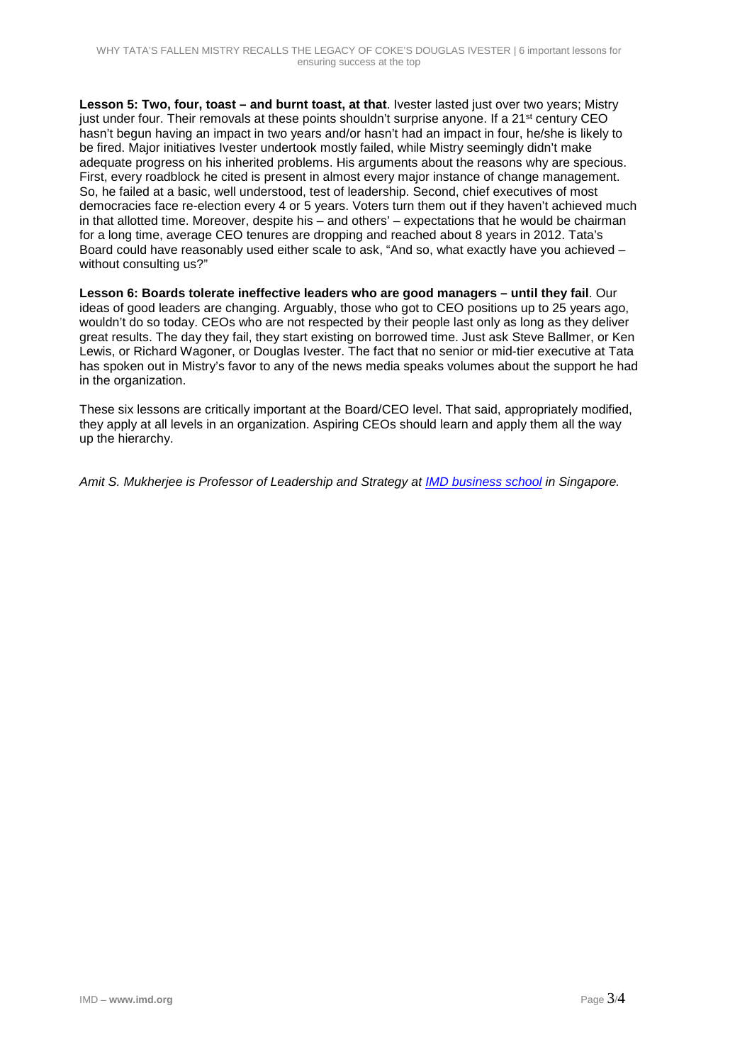**Lesson 5: Two, four, toast – and burnt toast, at that**. Ivester lasted just over two years; Mistry just under four. Their removals at these points shouldn't surprise anyone. If a 21<sup>st</sup> century CEO hasn't begun having an impact in two years and/or hasn't had an impact in four, he/she is likely to be fired. Major initiatives Ivester undertook mostly failed, while Mistry seemingly didn't make adequate progress on his inherited problems. His arguments about the reasons why are specious. First, every roadblock he cited is present in almost every major instance of change management. So, he failed at a basic, well understood, test of leadership. Second, chief executives of most democracies face re-election every 4 or 5 years. Voters turn them out if they haven't achieved much in that allotted time. Moreover, despite his – and others' – expectations that he would be chairman for a long time, average CEO tenures are dropping and reached about 8 years in 2012. Tata's Board could have reasonably used either scale to ask, "And so, what exactly have you achieved – without consulting us?"

**Lesson 6: Boards tolerate ineffective leaders who are good managers – until they fail**. Our ideas of good leaders are changing. Arguably, those who got to CEO positions up to 25 years ago, wouldn't do so today. CEOs who are not respected by their people last only as long as they deliver great results. The day they fail, they start existing on borrowed time. Just ask Steve Ballmer, or Ken Lewis, or Richard Wagoner, or Douglas Ivester. The fact that no senior or mid-tier executive at Tata has spoken out in Mistry's favor to any of the news media speaks volumes about the support he had in the organization.

These six lessons are critically important at the Board/CEO level. That said, appropriately modified, they apply at all levels in an organization. Aspiring CEOs should learn and apply them all the way up the hierarchy.

*Amit S. Mukherjee is Professor of Leadership and Strategy at [IMD business school](http://www.imd.org/) in Singapore.*